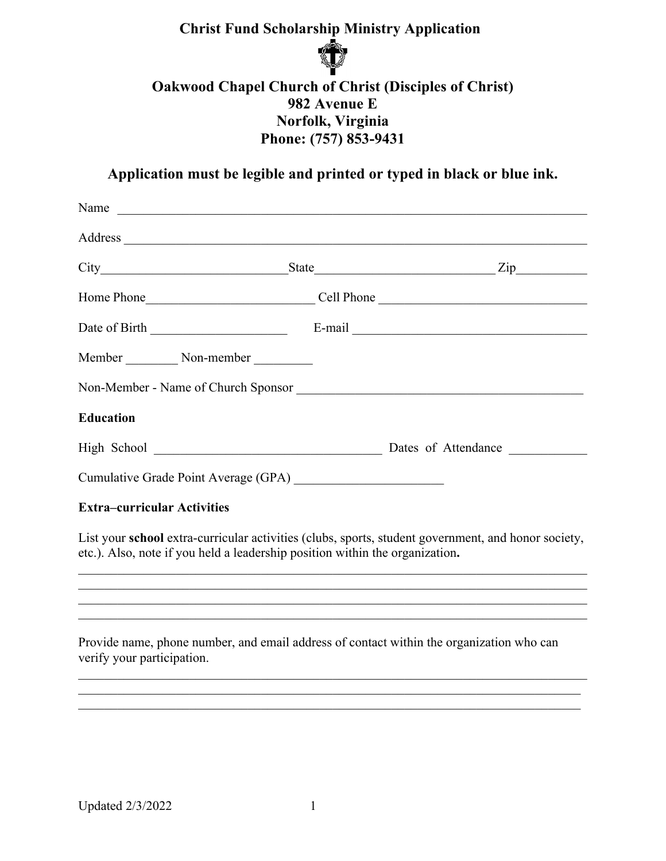## **Christ Fund Scholarship Ministry Application**



## **Oakwood Chapel Church of Christ (Disciples of Christ) 982 Avenue E Norfolk, Virginia Phone: (757) 853-9431**

**Application must be legible and printed or typed in black or blue ink.**

| Name                                                                                                                                                                                                                           |                                                                                                     |
|--------------------------------------------------------------------------------------------------------------------------------------------------------------------------------------------------------------------------------|-----------------------------------------------------------------------------------------------------|
| Address and the contract of the contract of the contract of the contract of the contract of the contract of the contract of the contract of the contract of the contract of the contract of the contract of the contract of th |                                                                                                     |
|                                                                                                                                                                                                                                |                                                                                                     |
|                                                                                                                                                                                                                                |                                                                                                     |
|                                                                                                                                                                                                                                |                                                                                                     |
|                                                                                                                                                                                                                                |                                                                                                     |
| Non-Member - Name of Church Sponsor                                                                                                                                                                                            |                                                                                                     |
| <b>Education</b>                                                                                                                                                                                                               |                                                                                                     |
|                                                                                                                                                                                                                                |                                                                                                     |
|                                                                                                                                                                                                                                |                                                                                                     |
| <b>Extra-curricular Activities</b>                                                                                                                                                                                             |                                                                                                     |
| etc.). Also, note if you held a leadership position within the organization.                                                                                                                                                   | List your school extra-curricular activities (clubs, sports, student government, and honor society, |

Provide name, phone number, and email address of contact within the organization who can verify your participation.